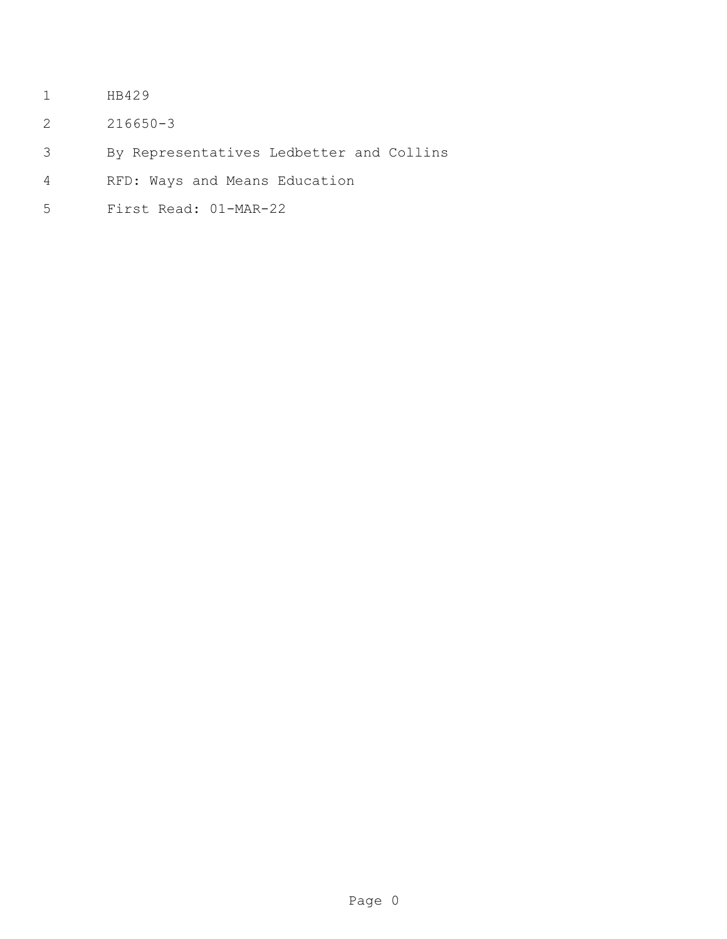- HB429
- 216650-3
- By Representatives Ledbetter and Collins
- RFD: Ways and Means Education
- First Read: 01-MAR-22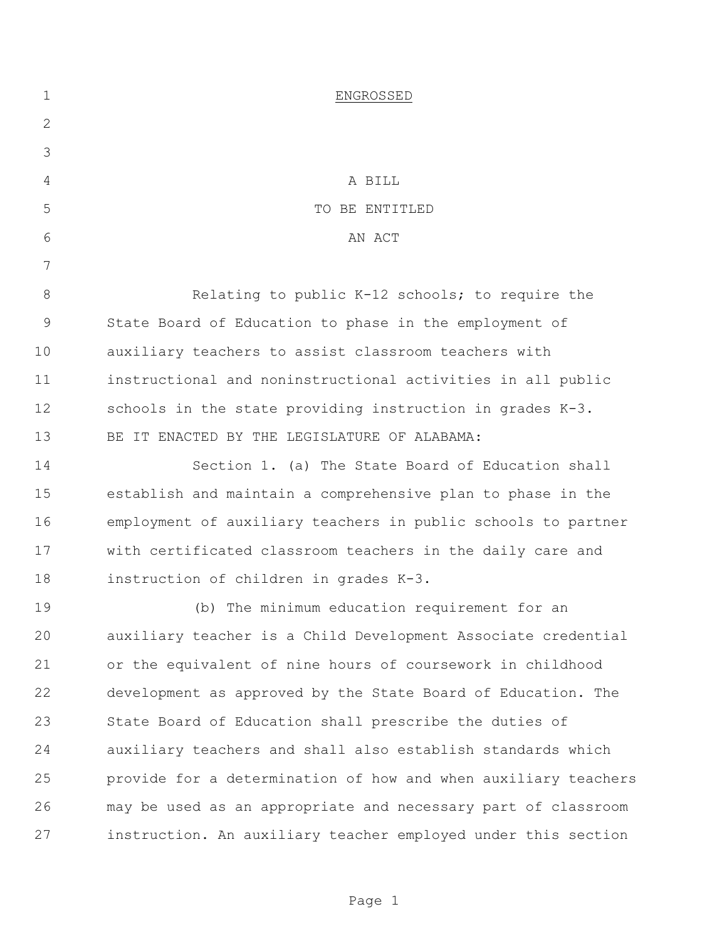| $\mathbf 1$  | ENGROSSED                                                      |
|--------------|----------------------------------------------------------------|
| $\mathbf{2}$ |                                                                |
| 3            |                                                                |
| 4            | A BILL                                                         |
| 5            | TO BE ENTITLED                                                 |
| 6            | AN ACT                                                         |
| 7            |                                                                |
| $8\,$        | Relating to public K-12 schools; to require the                |
| $\mathsf 9$  | State Board of Education to phase in the employment of         |
| 10           | auxiliary teachers to assist classroom teachers with           |
| 11           | instructional and noninstructional activities in all public    |
| 12           | schools in the state providing instruction in grades K-3.      |
| 13           | BE IT ENACTED BY THE LEGISLATURE OF ALABAMA:                   |
| 14           | Section 1. (a) The State Board of Education shall              |
| 15           | establish and maintain a comprehensive plan to phase in the    |
| 16           | employment of auxiliary teachers in public schools to partner  |
| 17           | with certificated classroom teachers in the daily care and     |
| 18           | instruction of children in grades K-3.                         |
| 19           | (b) The minimum education requirement for an                   |
| 20           | auxiliary teacher is a Child Development Associate credential  |
| 21           | or the equivalent of nine hours of coursework in childhood     |
| 22           | development as approved by the State Board of Education. The   |
| 23           | State Board of Education shall prescribe the duties of         |
| 24           | auxiliary teachers and shall also establish standards which    |
| 25           | provide for a determination of how and when auxiliary teachers |
| 26           | may be used as an appropriate and necessary part of classroom  |
| 27           | instruction. An auxiliary teacher employed under this section  |

Page 1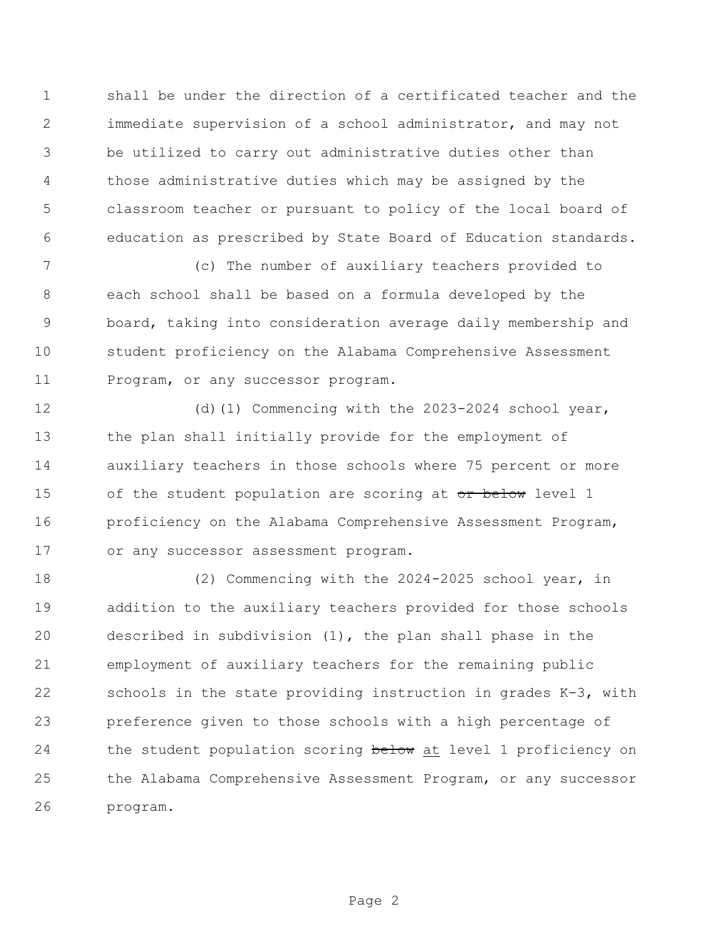shall be under the direction of a certificated teacher and the immediate supervision of a school administrator, and may not be utilized to carry out administrative duties other than those administrative duties which may be assigned by the classroom teacher or pursuant to policy of the local board of education as prescribed by State Board of Education standards.

 (c) The number of auxiliary teachers provided to each school shall be based on a formula developed by the board, taking into consideration average daily membership and student proficiency on the Alabama Comprehensive Assessment Program, or any successor program.

 (d)(1) Commencing with the 2023-2024 school year, the plan shall initially provide for the employment of auxiliary teachers in those schools where 75 percent or more 15 of the student population are scoring at or below level 1 16 proficiency on the Alabama Comprehensive Assessment Program, or any successor assessment program.

 (2) Commencing with the 2024-2025 school year, in addition to the auxiliary teachers provided for those schools described in subdivision (1), the plan shall phase in the employment of auxiliary teachers for the remaining public schools in the state providing instruction in grades K-3, with preference given to those schools with a high percentage of 24 the student population scoring below at level 1 proficiency on the Alabama Comprehensive Assessment Program, or any successor program.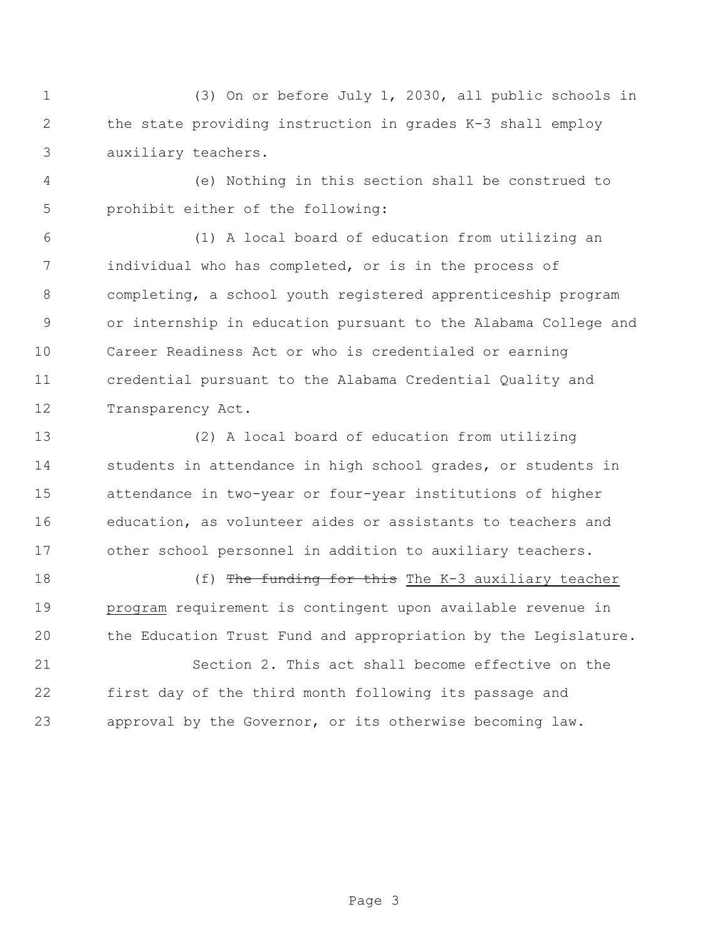(3) On or before July 1, 2030, all public schools in the state providing instruction in grades K-3 shall employ auxiliary teachers.

 (e) Nothing in this section shall be construed to prohibit either of the following:

 (1) A local board of education from utilizing an individual who has completed, or is in the process of completing, a school youth registered apprenticeship program or internship in education pursuant to the Alabama College and Career Readiness Act or who is credentialed or earning credential pursuant to the Alabama Credential Quality and Transparency Act.

 (2) A local board of education from utilizing students in attendance in high school grades, or students in attendance in two-year or four-year institutions of higher education, as volunteer aides or assistants to teachers and other school personnel in addition to auxiliary teachers.

18 (f) The funding for this The K-3 auxiliary teacher program requirement is contingent upon available revenue in the Education Trust Fund and appropriation by the Legislature.

 Section 2. This act shall become effective on the first day of the third month following its passage and approval by the Governor, or its otherwise becoming law.

Page 3